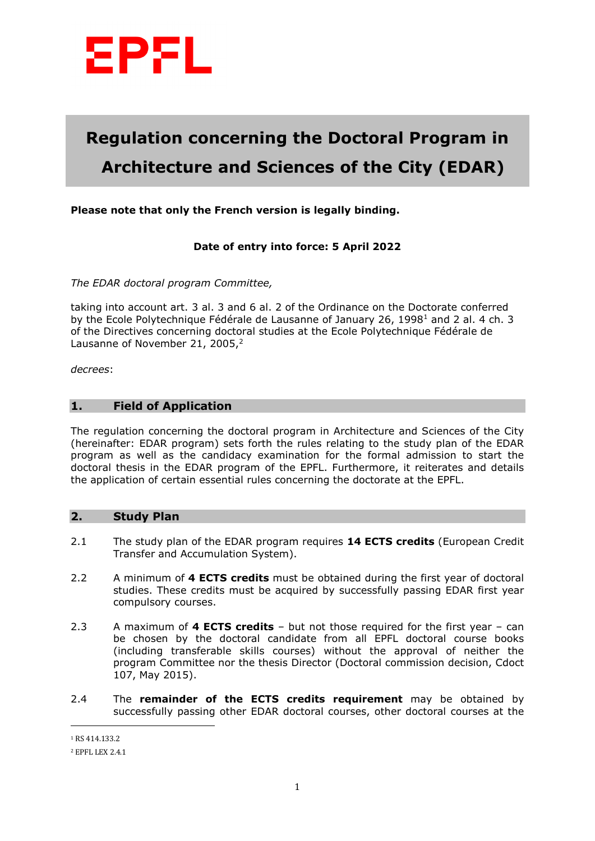

# **Regulation concerning the Doctoral Program in Architecture and Sciences of the City (EDAR)**

# **Please note that only the French version is legally binding.**

#### **Date of entry into force: 5 April 2022**

*The EDAR doctoral program Committee,* 

taking into account art. 3 al. 3 and 6 al. 2 of the Ordinance on the Doctorate conferred by the Ecole Polytechnique Fédérale de Lausanne of January 26, 1998<sup>1</sup> and 2 al. 4 ch. 3 of the Directives concerning doctoral studies at the Ecole Polytechnique Fédérale de Lausanne of November 21, 2005,<sup>2</sup>

*decrees*:

#### **1. Field of Application**

The regulation concerning the doctoral program in Architecture and Sciences of the City (hereinafter: EDAR program) sets forth the rules relating to the study plan of the EDAR program as well as the candidacy examination for the formal admission to start the doctoral thesis in the EDAR program of the EPFL. Furthermore, it reiterates and details the application of certain essential rules concerning the doctorate at the EPFL.

#### **2. Study Plan**

- 2.1 The study plan of the EDAR program requires **14 ECTS credits** (European Credit Transfer and Accumulation System).
- 2.2 A minimum of **4 ECTS credits** must be obtained during the first year of doctoral studies. These credits must be acquired by successfully passing EDAR first year compulsory courses.
- 2.3 A maximum of **4 ECTS credits** but not those required for the first year can be chosen by the doctoral candidate from all EPFL doctoral course books (including transferable skills courses) without the approval of neither the program Committee nor the thesis Director (Doctoral commission decision, Cdoct 107, May 2015).
- 2.4 The **remainder of the ECTS credits requirement** may be obtained by successfully passing other EDAR doctoral courses, other doctoral courses at the

 $\overline{a}$ 

<sup>1</sup> RS 414.133.2

<sup>2</sup> EPFL LEX 2.4.1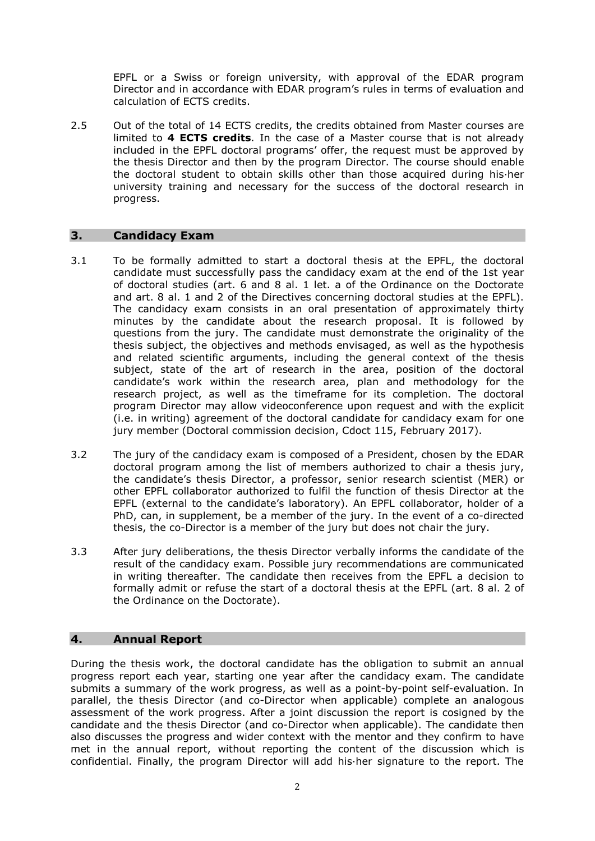EPFL or a Swiss or foreign university, with approval of the EDAR program Director and in accordance with EDAR program's rules in terms of evaluation and calculation of ECTS credits.

2.5 Out of the total of 14 ECTS credits, the credits obtained from Master courses are limited to **4 ECTS credits**. In the case of a Master course that is not already included in the EPFL doctoral programs' offer, the request must be approved by the thesis Director and then by the program Director. The course should enable the doctoral student to obtain skills other than those acquired during his·her university training and necessary for the success of the doctoral research in progress.

# **3. Candidacy Exam**

- 3.1 To be formally admitted to start a doctoral thesis at the EPFL, the doctoral candidate must successfully pass the candidacy exam at the end of the 1st year of doctoral studies (art. 6 and 8 al. 1 let. a of the Ordinance on the Doctorate and art. 8 al. 1 and 2 of the Directives concerning doctoral studies at the EPFL). The candidacy exam consists in an oral presentation of approximately thirty minutes by the candidate about the research proposal. It is followed by questions from the jury. The candidate must demonstrate the originality of the thesis subject, the objectives and methods envisaged, as well as the hypothesis and related scientific arguments, including the general context of the thesis subject, state of the art of research in the area, position of the doctoral candidate's work within the research area, plan and methodology for the research project, as well as the timeframe for its completion. The doctoral program Director may allow videoconference upon request and with the explicit (i.e. in writing) agreement of the doctoral candidate for candidacy exam for one jury member (Doctoral commission decision, Cdoct 115, February 2017).
- 3.2 The jury of the candidacy exam is composed of a President, chosen by the EDAR doctoral program among the list of members authorized to chair a thesis jury, the candidate's thesis Director, a professor, senior research scientist (MER) or other EPFL collaborator authorized to fulfil the function of thesis Director at the EPFL (external to the candidate's laboratory). An EPFL collaborator, holder of a PhD, can, in supplement, be a member of the jury. In the event of a co-directed thesis, the co-Director is a member of the jury but does not chair the jury.
- 3.3 After jury deliberations, the thesis Director verbally informs the candidate of the result of the candidacy exam. Possible jury recommendations are communicated in writing thereafter. The candidate then receives from the EPFL a decision to formally admit or refuse the start of a doctoral thesis at the EPFL (art. 8 al. 2 of the Ordinance on the Doctorate).

# **4. Annual Report**

During the thesis work, the doctoral candidate has the obligation to submit an annual progress report each year, starting one year after the candidacy exam. The candidate submits a summary of the work progress, as well as a point-by-point self-evaluation. In parallel, the thesis Director (and co-Director when applicable) complete an analogous assessment of the work progress. After a joint discussion the report is cosigned by the candidate and the thesis Director (and co-Director when applicable). The candidate then also discusses the progress and wider context with the mentor and they confirm to have met in the annual report, without reporting the content of the discussion which is confidential. Finally, the program Director will add his·her signature to the report. The